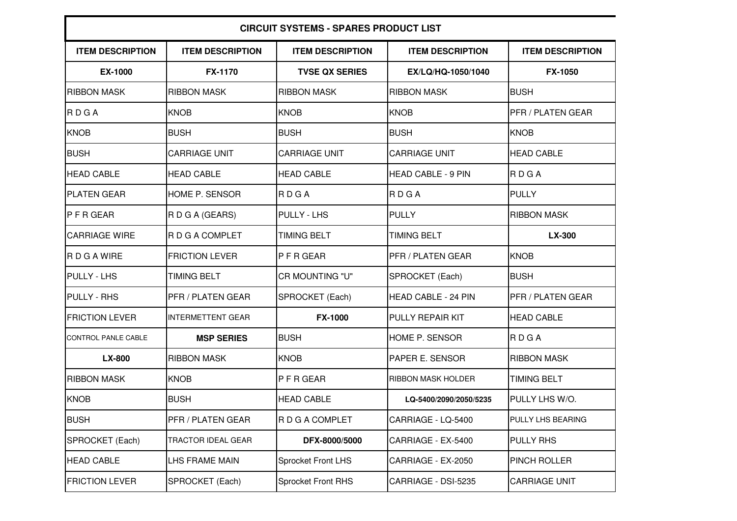| <b>CIRCUIT SYSTEMS - SPARES PRODUCT LIST</b> |                          |                           |                            |                          |  |  |  |
|----------------------------------------------|--------------------------|---------------------------|----------------------------|--------------------------|--|--|--|
| <b>ITEM DESCRIPTION</b>                      | <b>ITEM DESCRIPTION</b>  | <b>ITEM DESCRIPTION</b>   | <b>ITEM DESCRIPTION</b>    | <b>ITEM DESCRIPTION</b>  |  |  |  |
| <b>EX-1000</b>                               | <b>FX-1170</b>           | <b>TVSE QX SERIES</b>     | EX/LQ/HQ-1050/1040         | <b>FX-1050</b>           |  |  |  |
| <b>RIBBON MASK</b>                           | <b>RIBBON MASK</b>       | <b>RIBBON MASK</b>        | <b>RIBBON MASK</b>         | <b>BUSH</b>              |  |  |  |
| RDGA                                         | <b>KNOB</b>              | <b>KNOB</b>               | <b>KNOB</b>                | PFR / PLATEN GEAR        |  |  |  |
| <b>KNOB</b>                                  | <b>BUSH</b>              | <b>BUSH</b>               | <b>BUSH</b>                | <b>KNOB</b>              |  |  |  |
| <b>BUSH</b>                                  | <b>CARRIAGE UNIT</b>     | <b>CARRIAGE UNIT</b>      | <b>CARRIAGE UNIT</b>       | <b>HEAD CABLE</b>        |  |  |  |
| <b>HEAD CABLE</b>                            | <b>HEAD CABLE</b>        | <b>HEAD CABLE</b>         | <b>HEAD CABLE - 9 PIN</b>  | <b>RDGA</b>              |  |  |  |
| <b>PLATEN GEAR</b>                           | HOME P. SENSOR           | RDGA                      | <b>RDGA</b>                | <b>PULLY</b>             |  |  |  |
| IP F R GEAR                                  | R D G A (GEARS)          | PULLY - LHS               | <b>PULLY</b>               | <b>RIBBON MASK</b>       |  |  |  |
| <b>CARRIAGE WIRE</b>                         | R D G A COMPLET          | <b>TIMING BELT</b>        | <b>TIMING BELT</b>         | LX-300                   |  |  |  |
| RDGAWIRE                                     | <b>FRICTION LEVER</b>    | P F R GEAR                | PFR / PLATEN GEAR          | <b>KNOB</b>              |  |  |  |
| <b>PULLY - LHS</b>                           | <b>TIMING BELT</b>       | CR MOUNTING "U"           | SPROCKET (Each)            | <b>BUSH</b>              |  |  |  |
| <b>PULLY - RHS</b>                           | <b>PFR / PLATEN GEAR</b> | SPROCKET (Each)           | <b>HEAD CABLE - 24 PIN</b> | <b>PFR / PLATEN GEAR</b> |  |  |  |
| <b>FRICTION LEVER</b>                        | <b>INTERMETTENT GEAR</b> | <b>FX-1000</b>            | <b>PULLY REPAIR KIT</b>    | <b>HEAD CABLE</b>        |  |  |  |
| <b>CONTROL PANLE CABLE</b>                   | <b>MSP SERIES</b>        | <b>BUSH</b>               | <b>HOME P. SENSOR</b>      | <b>RDGA</b>              |  |  |  |
| LX-800                                       | <b>RIBBON MASK</b>       | <b>KNOB</b>               | <b>PAPER E. SENSOR</b>     | <b>RIBBON MASK</b>       |  |  |  |
| <b>RIBBON MASK</b>                           | <b>KNOB</b>              | PFRGEAR                   | <b>RIBBON MASK HOLDER</b>  | <b>TIMING BELT</b>       |  |  |  |
| <b>KNOB</b>                                  | <b>BUSH</b>              | <b>HEAD CABLE</b>         | LQ-5400/2090/2050/5235     | PULLY LHS W/O.           |  |  |  |
| <b>BUSH</b>                                  | PFR / PLATEN GEAR        | R D G A COMPLET           | CARRIAGE - LQ-5400         | PULLY LHS BEARING        |  |  |  |
| SPROCKET (Each)                              | TRACTOR IDEAL GEAR       | DFX-8000/5000             | CARRIAGE - EX-5400         | <b>PULLY RHS</b>         |  |  |  |
| <b>HEAD CABLE</b>                            | LHS FRAME MAIN           | <b>Sprocket Front LHS</b> | CARRIAGE - EX-2050         | PINCH ROLLER             |  |  |  |
| <b>FRICTION LEVER</b>                        | SPROCKET (Each)          | <b>Sprocket Front RHS</b> | CARRIAGE - DSI-5235        | <b>CARRIAGE UNIT</b>     |  |  |  |